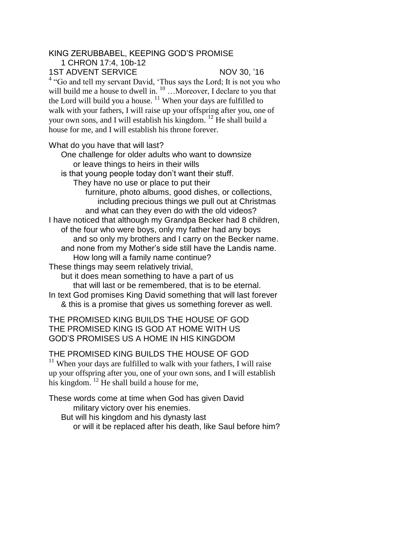## KING ZERUBBABEL, KEEPING GOD'S PROMISE

1 CHRON 17:4, 10b-12

1ST ADVENT SERVICE NOV 30, '16

<sup>4</sup> "Go and tell my servant David, 'Thus says the Lord; It is not you who will build me a house to dwell in.<sup>10</sup> ... Moreover, I declare to you that the Lord will build you a house.  $11$  When your days are fulfilled to walk with your fathers, I will raise up your offspring after you, one of your own sons, and I will establish his kingdom. <sup>12</sup> He shall build a house for me, and I will establish his throne forever.

## What do you have that will last?

One challenge for older adults who want to downsize or leave things to heirs in their wills is that young people today don't want their stuff. They have no use or place to put their furniture, photo albums, good dishes, or collections, including precious things we pull out at Christmas and what can they even do with the old videos? I have noticed that although my Grandpa Becker had 8 children, of the four who were boys, only my father had any boys and so only my brothers and I carry on the Becker name. and none from my Mother's side still have the Landis name. How long will a family name continue? These things may seem relatively trivial, but it does mean something to have a part of us that will last or be remembered, that is to be eternal. In text God promises King David something that will last forever

& this is a promise that gives us something forever as well.

THE PROMISED KING BUILDS THE HOUSE OF GOD THE PROMISED KING IS GOD AT HOME WITH US GOD'S PROMISES US A HOME IN HIS KINGDOM

THE PROMISED KING BUILDS THE HOUSE OF GOD

 $11$  When your days are fulfilled to walk with your fathers, I will raise up your offspring after you, one of your own sons, and I will establish his kingdom. <sup>12</sup> He shall build a house for me,

These words come at time when God has given David military victory over his enemies. But will his kingdom and his dynasty last or will it be replaced after his death, like Saul before him?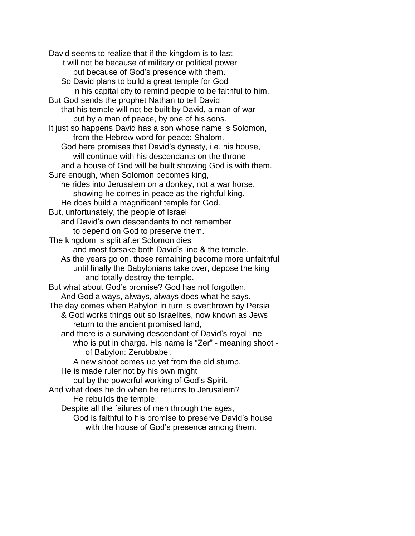David seems to realize that if the kingdom is to last it will not be because of military or political power but because of God's presence with them. So David plans to build a great temple for God in his capital city to remind people to be faithful to him. But God sends the prophet Nathan to tell David that his temple will not be built by David, a man of war but by a man of peace, by one of his sons. It just so happens David has a son whose name is Solomon, from the Hebrew word for peace: Shalom. God here promises that David's dynasty, i.e. his house, will continue with his descendants on the throne and a house of God will be built showing God is with them. Sure enough, when Solomon becomes king, he rides into Jerusalem on a donkey, not a war horse, showing he comes in peace as the rightful king. He does build a magnificent temple for God. But, unfortunately, the people of Israel and David's own descendants to not remember to depend on God to preserve them. The kingdom is split after Solomon dies and most forsake both David's line & the temple. As the years go on, those remaining become more unfaithful until finally the Babylonians take over, depose the king and totally destroy the temple. But what about God's promise? God has not forgotten. And God always, always, always does what he says. The day comes when Babylon in turn is overthrown by Persia & God works things out so Israelites, now known as Jews return to the ancient promised land, and there is a surviving descendant of David's royal line who is put in charge. His name is "Zer" - meaning shoot of Babylon: Zerubbabel. A new shoot comes up yet from the old stump. He is made ruler not by his own might but by the powerful working of God's Spirit. And what does he do when he returns to Jerusalem? He rebuilds the temple. Despite all the failures of men through the ages, God is faithful to his promise to preserve David's house

with the house of God's presence among them.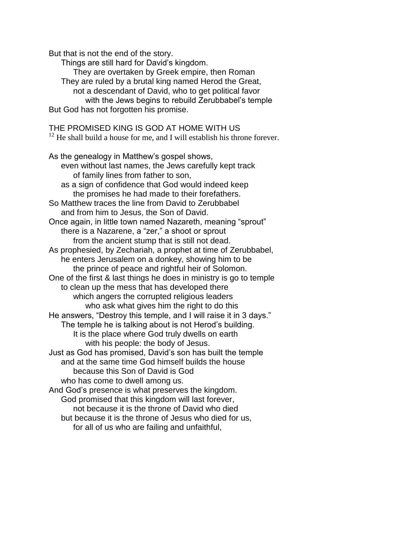But that is not the end of the story.

Things are still hard for David's kingdom. They are overtaken by Greek empire, then Roman They are ruled by a brutal king named Herod the Great, not a descendant of David, who to get political favor with the Jews begins to rebuild Zerubbabel's temple But God has not forgotten his promise.

THE PROMISED KING IS GOD AT HOME WITH US  $12$  He shall build a house for me, and I will establish his throne forever. As the genealogy in Matthew's gospel shows, even without last names, the Jews carefully kept track of family lines from father to son, as a sign of confidence that God would indeed keep the promises he had made to their forefathers. So Matthew traces the line from David to Zerubbabel and from him to Jesus, the Son of David. Once again, in little town named Nazareth, meaning "sprout" there is a Nazarene, a "zer," a shoot or sprout from the ancient stump that is still not dead. As prophesied, by Zechariah, a prophet at time of Zerubbabel, he enters Jerusalem on a donkey, showing him to be the prince of peace and rightful heir of Solomon. One of the first & last things he does in ministry is go to temple to clean up the mess that has developed there which angers the corrupted religious leaders who ask what gives him the right to do this He answers, "Destroy this temple, and I will raise it in 3 days." The temple he is talking about is not Herod's building. It is the place where God truly dwells on earth with his people: the body of Jesus. Just as God has promised, David's son has built the temple and at the same time God himself builds the house because this Son of David is God who has come to dwell among us. And God's presence is what preserves the kingdom. God promised that this kingdom will last forever, not because it is the throne of David who died but because it is the throne of Jesus who died for us, for all of us who are failing and unfaithful,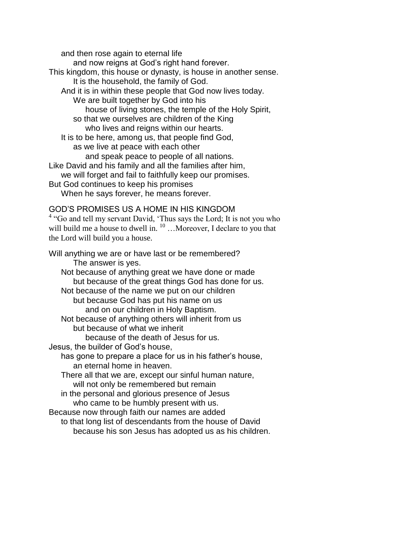and then rose again to eternal life and now reigns at God's right hand forever. This kingdom, this house or dynasty, is house in another sense. It is the household, the family of God. And it is in within these people that God now lives today. We are built together by God into his house of living stones, the temple of the Holy Spirit, so that we ourselves are children of the King who lives and reigns within our hearts. It is to be here, among us, that people find God, as we live at peace with each other and speak peace to people of all nations. Like David and his family and all the families after him, we will forget and fail to faithfully keep our promises. But God continues to keep his promises When he says forever, he means forever.

## GOD'S PROMISES US A HOME IN HIS KINGDOM

<sup>4</sup> "Go and tell my servant David, 'Thus says the Lord; It is not you who will build me a house to dwell in.  $10^{\circ}$  ... Moreover, I declare to you that the Lord will build you a house.

Will anything we are or have last or be remembered? The answer is yes. Not because of anything great we have done or made but because of the great things God has done for us. Not because of the name we put on our children but because God has put his name on us and on our children in Holy Baptism. Not because of anything others will inherit from us but because of what we inherit because of the death of Jesus for us. Jesus, the builder of God's house, has gone to prepare a place for us in his father's house, an eternal home in heaven. There all that we are, except our sinful human nature, will not only be remembered but remain in the personal and glorious presence of Jesus who came to be humbly present with us. Because now through faith our names are added to that long list of descendants from the house of David because his son Jesus has adopted us as his children.